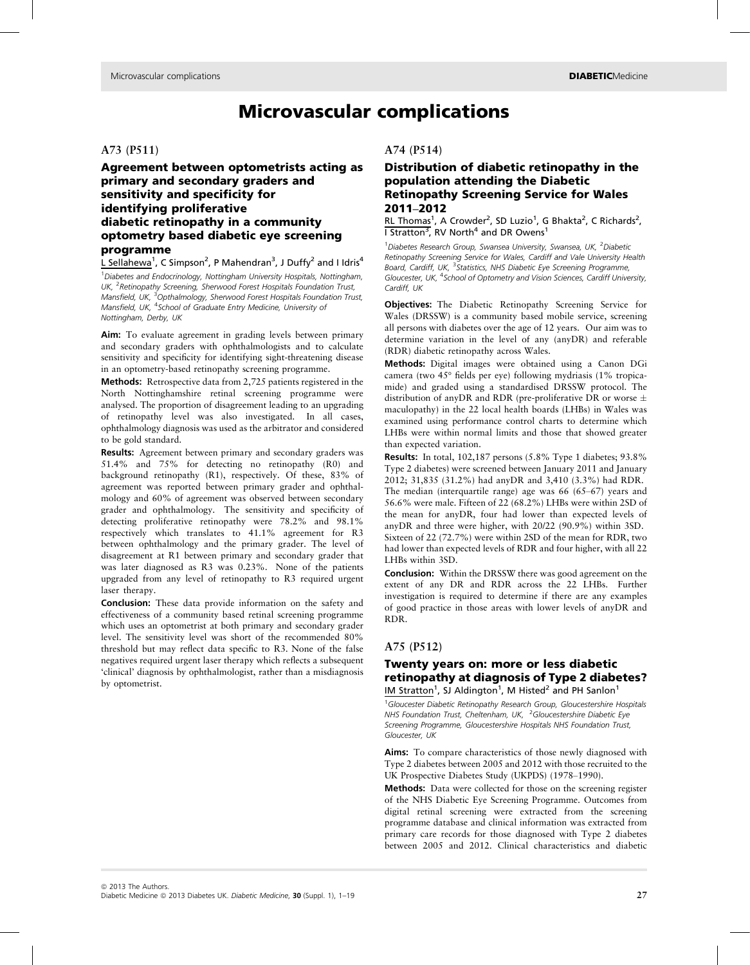# Microvascular complications

#### A73 (P511)

# Agreement between optometrists acting as primary and secondary graders and sensitivity and specificity for identifying proliferative diabetic retinopathy in a community optometry based diabetic eye screening programme

L Sellahewa<sup>1</sup>, C Simpson<sup>2</sup>, P Mahendran<sup>3</sup>, J Duffy<sup>2</sup> and I Idris<sup>4</sup>

<sup>1</sup> Diabetes and Endocrinology, Nottingham University Hospitals, Nottingham, UK, <sup>2</sup>Retinopathy Screening, Sherwood Forest Hospitals Foundation Trust, Mansfield, UK, <sup>3</sup>Opthalmology, Sherwood Forest Hospitals Foundation Trust, Mansfield, UK, <sup>4</sup>School of Graduate Entry Medicine, University of Nottingham, Derby, UK

Aim: To evaluate agreement in grading levels between primary and secondary graders with ophthalmologists and to calculate sensitivity and specificity for identifying sight-threatening disease in an optometry-based retinopathy screening programme.

Methods: Retrospective data from 2,725 patients registered in the North Nottinghamshire retinal screening programme were analysed. The proportion of disagreement leading to an upgrading of retinopathy level was also investigated. In all cases, ophthalmology diagnosis was used as the arbitrator and considered to be gold standard.

Results: Agreement between primary and secondary graders was 51.4% and 75% for detecting no retinopathy (R0) and background retinopathy (R1), respectively. Of these, 83% of agreement was reported between primary grader and ophthalmology and 60% of agreement was observed between secondary grader and ophthalmology. The sensitivity and specificity of detecting proliferative retinopathy were 78.2% and 98.1% respectively which translates to 41.1% agreement for R3 between ophthalmology and the primary grader. The level of disagreement at R1 between primary and secondary grader that was later diagnosed as R3 was 0.23%. None of the patients upgraded from any level of retinopathy to R3 required urgent laser therapy.

Conclusion: These data provide information on the safety and effectiveness of a community based retinal screening programme which uses an optometrist at both primary and secondary grader level. The sensitivity level was short of the recommended 80% threshold but may reflect data specific to R3. None of the false negatives required urgent laser therapy which reflects a subsequent 'clinical' diagnosis by ophthalmologist, rather than a misdiagnosis by optometrist.

#### A74 (P514)

# Distribution of diabetic retinopathy in the population attending the Diabetic Retinopathy Screening Service for Wales 2011–2012

RL Thomas<sup>1</sup>, A Crowder<sup>2</sup>, SD Luzio<sup>1</sup>, G Bhakta<sup>2</sup>, C Richards<sup>2</sup>, I Stratton<sup>3</sup>, RV North<sup>4</sup> and DR Owens<sup>1</sup>

<sup>1</sup>Diabetes Research Group, Swansea University, Swansea, UK, <sup>2</sup>Diabetic Retinopathy Screening Service for Wales, Cardiff and Vale University Health Board, Cardiff, UK, <sup>3</sup>Statistics, NHS Diabetic Eye Screening Programme, Gloucester, UK, <sup>4</sup>School of Optometry and Vision Sciences, Cardiff University, Cardiff, UK

Objectives: The Diabetic Retinopathy Screening Service for Wales (DRSSW) is a community based mobile service, screening all persons with diabetes over the age of 12 years. Our aim was to determine variation in the level of any (anyDR) and referable (RDR) diabetic retinopathy across Wales.

Methods: Digital images were obtained using a Canon DGi camera (two 45° fields per eye) following mydriasis (1% tropicamide) and graded using a standardised DRSSW protocol. The distribution of any DR and RDR (pre-proliferative DR or worse  $\pm$ maculopathy) in the 22 local health boards (LHBs) in Wales was examined using performance control charts to determine which LHBs were within normal limits and those that showed greater than expected variation.

Results: In total, 102,187 persons (5.8% Type 1 diabetes; 93.8% Type 2 diabetes) were screened between January 2011 and January 2012; 31,835 (31.2%) had anyDR and 3,410 (3.3%) had RDR. The median (interquartile range) age was 66 (65–67) years and 56.6% were male. Fifteen of 22 (68.2%) LHBs were within 2SD of the mean for anyDR, four had lower than expected levels of anyDR and three were higher, with 20/22 (90.9%) within 3SD. Sixteen of 22 (72.7%) were within 2SD of the mean for RDR, two

had lower than expected levels of RDR and four higher, with all 22 LHBs within 3SD.

Conclusion: Within the DRSSW there was good agreement on the extent of any DR and RDR across the 22 LHBs. Further investigation is required to determine if there are any examples of good practice in those areas with lower levels of anyDR and RDR.

# A75 (P512)

## Twenty years on: more or less diabetic retinopathy at diagnosis of Type 2 diabetes? IM Stratton<sup>1</sup>, SJ Aldington<sup>1</sup>, M Histed<sup>2</sup> and PH Sanlon<sup>1</sup>

<sup>1</sup>Gloucester Diabetic Retinopathy Research Group, Gloucestershire Hospitals NHS Foundation Trust, Cheltenham, UK, <sup>2</sup>Gloucestershire Diabetic Eye Screening Programme, Gloucestershire Hospitals NHS Foundation Trust, Gloucester, UK

Aims: To compare characteristics of those newly diagnosed with Type 2 diabetes between 2005 and 2012 with those recruited to the UK Prospective Diabetes Study (UKPDS) (1978–1990).

Methods: Data were collected for those on the screening register of the NHS Diabetic Eye Screening Programme. Outcomes from digital retinal screening were extracted from the screening programme database and clinical information was extracted from primary care records for those diagnosed with Type 2 diabetes between 2005 and 2012. Clinical characteristics and diabetic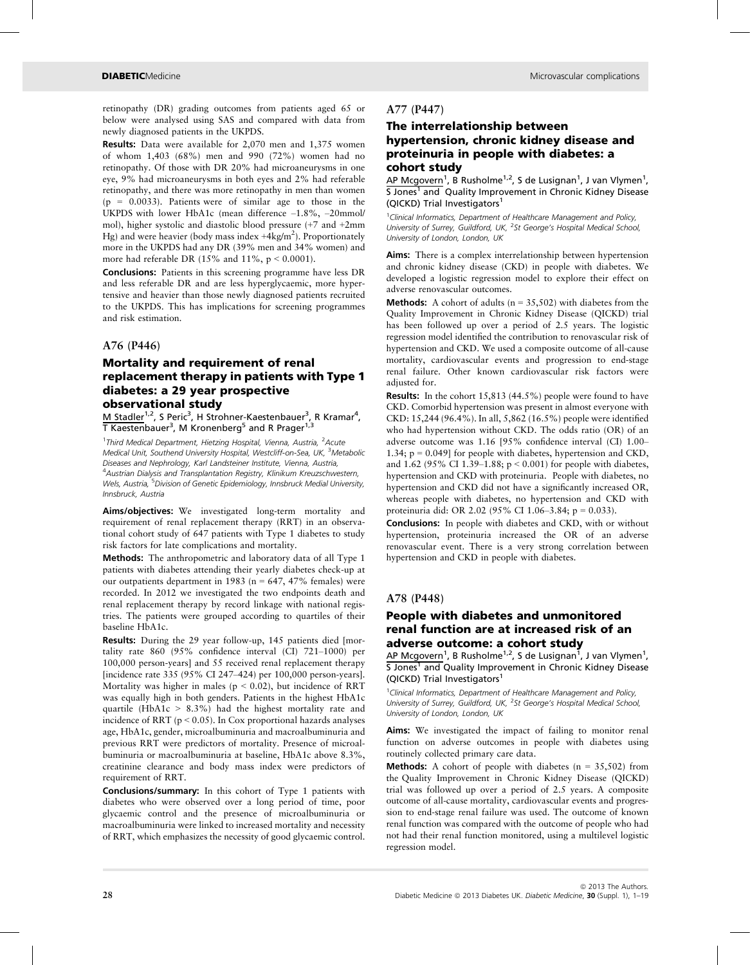retinopathy (DR) grading outcomes from patients aged 65 or below were analysed using SAS and compared with data from newly diagnosed patients in the UKPDS.

Results: Data were available for 2,070 men and 1,375 women of whom 1,403 (68%) men and 990 (72%) women had no retinopathy. Of those with DR 20% had microaneurysms in one eye, 9% had microaneurysms in both eyes and 2% had referable retinopathy, and there was more retinopathy in men than women  $(p = 0.0033)$ . Patients were of similar age to those in the UKPDS with lower HbA1c (mean difference –1.8%, –20mmol/ mol), higher systolic and diastolic blood pressure (+7 and +2mm Hg) and were heavier (body mass index  $+4\text{kg/m}^2$ ). Proportionately more in the UKPDS had any DR (39% men and 34% women) and more had referable DR  $(15\%$  and  $11\%$ ,  $p < 0.0001$ ).

Conclusions: Patients in this screening programme have less DR and less referable DR and are less hyperglycaemic, more hypertensive and heavier than those newly diagnosed patients recruited to the UKPDS. This has implications for screening programmes and risk estimation.

### A76 (P446)

# Mortality and requirement of renal replacement therapy in patients with Type 1 diabetes: a 29 year prospective observational study

M Stadler<sup>1,2</sup>, S Peric<sup>3</sup>, H Strohner-Kaestenbauer<sup>3</sup>, R Kramar<sup>4</sup>, T Kaestenbauer<sup>3</sup>, M Kronenberg<sup>5</sup> and R Prager<sup>1,3</sup>

<sup>1</sup>Third Medical Department, Hietzing Hospital, Vienna, Austria, <sup>2</sup>Acute Medical Unit, Southend University Hospital, Westcliff-on-Sea, UK, <sup>3</sup>Metabolic Diseases and Nephrology, Karl Landsteiner Institute, Vienna, Austria, <sup>4</sup>Austrian Dialysis and Transplantation Registry, Klinikum Kreuzschwestern, Wels, Austria, <sup>5</sup>Division of Genetic Epidemiology, Innsbruck Medial University, Innsbruck, Austria

Aims/objectives: We investigated long-term mortality and requirement of renal replacement therapy (RRT) in an observational cohort study of 647 patients with Type 1 diabetes to study risk factors for late complications and mortality.

Methods: The anthropometric and laboratory data of all Type 1 patients with diabetes attending their yearly diabetes check-up at our outpatients department in 1983 ( $n = 647$ , 47% females) were recorded. In 2012 we investigated the two endpoints death and renal replacement therapy by record linkage with national registries. The patients were grouped according to quartiles of their baseline HbA1c.

Results: During the 29 year follow-up, 145 patients died [mortality rate 860 (95% confidence interval (CI) 721–1000) per 100,000 person-years] and 55 received renal replacement therapy [incidence rate 335 (95% CI 247–424) per 100,000 person-years]. Mortality was higher in males ( $p < 0.02$ ), but incidence of RRT was equally high in both genders. Patients in the highest HbA1c quartile (HbA1c  $> 8.3\%$ ) had the highest mortality rate and incidence of RRT (p < 0.05). In Cox proportional hazards analyses age, HbA1c, gender, microalbuminuria and macroalbuminuria and previous RRT were predictors of mortality. Presence of microalbuminuria or macroalbuminuria at baseline, HbA1c above 8.3%, creatinine clearance and body mass index were predictors of requirement of RRT.

Conclusions/summary: In this cohort of Type 1 patients with diabetes who were observed over a long period of time, poor glycaemic control and the presence of microalbuminuria or macroalbuminuria were linked to increased mortality and necessity of RRT, which emphasizes the necessity of good glycaemic control.

## A77 (P447)

## The interrelationship between hypertension, chronic kidney disease and proteinuria in people with diabetes: a cohort study

AP Mcgovern<sup>1</sup>, B Rusholme<sup>1,2</sup>, S de Lusignan<sup>1</sup>, J van Vlymen<sup>1</sup>, S Jones<sup>1</sup> and Quality Improvement in Chronic Kidney Disease (QICKD) Trial Investigators<sup>1</sup>

<sup>1</sup> Clinical Informatics, Department of Healthcare Management and Policy, University of Surrey, Guildford, UK, <sup>2</sup>St George's Hospital Medical School, University of London, London, UK

Aims: There is a complex interrelationship between hypertension and chronic kidney disease (CKD) in people with diabetes. We developed a logistic regression model to explore their effect on adverse renovascular outcomes.

**Methods:** A cohort of adults ( $n = 35,502$ ) with diabetes from the Quality Improvement in Chronic Kidney Disease (QICKD) trial has been followed up over a period of 2.5 years. The logistic regression model identified the contribution to renovascular risk of hypertension and CKD. We used a composite outcome of all-cause mortality, cardiovascular events and progression to end-stage renal failure. Other known cardiovascular risk factors were adjusted for.

Results: In the cohort 15,813 (44.5%) people were found to have CKD. Comorbid hypertension was present in almost everyone with CKD: 15,244 (96.4%). In all, 5,862 (16.5%) people were identified who had hypertension without CKD. The odds ratio (OR) of an adverse outcome was 1.16 [95% confidence interval (CI) 1.00– 1.34; p = 0.049] for people with diabetes, hypertension and CKD, and 1.62 (95% CI 1.39–1.88; p < 0.001) for people with diabetes, hypertension and CKD with proteinuria. People with diabetes, no hypertension and CKD did not have a significantly increased OR, whereas people with diabetes, no hypertension and CKD with proteinuria did: OR 2.02 (95% CI 1.06–3.84; p = 0.033).

Conclusions: In people with diabetes and CKD, with or without hypertension, proteinuria increased the OR of an adverse renovascular event. There is a very strong correlation between hypertension and CKD in people with diabetes.

#### A78 (P448)

## People with diabetes and unmonitored renal function are at increased risk of an adverse outcome: a cohort study

AP Mcgovern<sup>1</sup>, B Rusholme<sup>1,2</sup>, S de Lusignan<sup>1</sup>, J van Vlymen<sup>1</sup>, S Jones<sup>1</sup> and Quality Improvement in Chronic Kidney Disease (QICKD) Trial Investigators<sup>1</sup>

<sup>1</sup> Clinical Informatics, Department of Healthcare Management and Policy, University of Surrey, Guildford, UK, <sup>2</sup>St George's Hospital Medical School, University of London, London, UK

Aims: We investigated the impact of failing to monitor renal function on adverse outcomes in people with diabetes using routinely collected primary care data.

**Methods:** A cohort of people with diabetes ( $n = 35,502$ ) from the Quality Improvement in Chronic Kidney Disease (QICKD) trial was followed up over a period of 2.5 years. A composite outcome of all-cause mortality, cardiovascular events and progression to end-stage renal failure was used. The outcome of known renal function was compared with the outcome of people who had not had their renal function monitored, using a multilevel logistic regression model.